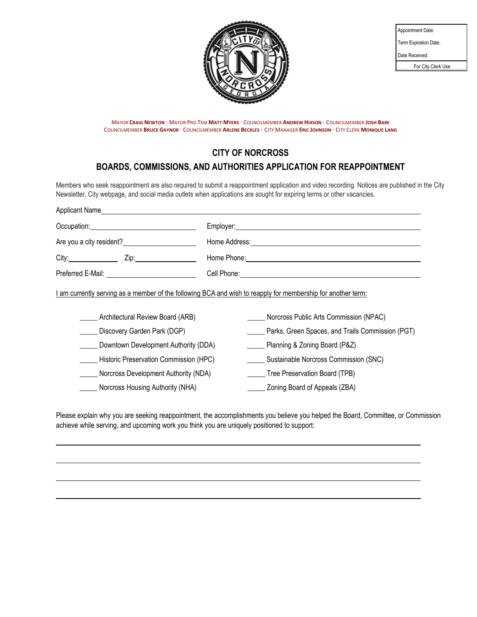

| Appointment Date:     |
|-----------------------|
| Term Expiration Date: |
| Date Received:        |
| For City Clerk Use    |

MAYOR **CRAIG NEWTON ·** MAYOR PRO TEM **MATT MYERS ·** COUNCILMEMBER **ANDREW HIXSON ·** COUNCILMEMBER **JOSH BARE** COUNCILMEMBER **BRUCE GAYNOR ·** COUNCILMEMBER **ARLENE BECKLES ·** CITY MANAGER **ERIC JOHNSON ·** CITY CLERK **MONIQUE LANG**

## **CITY OF NORCROSS**

# **BOARDS, COMMISSIONS, AND AUTHORITIES APPLICATION FOR REAPPOINTMENT**

Members who seek reappointment are also required to submit a reappointment application and video recording. Notices are published in the City Newsletter, City webpage, and social media outlets when applications are sought for expiring terms or other vacancies.

| Employer: <u>example and the set of the set of the set of the set of the set of the set of the set of the set of the set of the set of the set of the set of the set of the set of the set of the set of the set of the set of t</u>                             |  |
|------------------------------------------------------------------------------------------------------------------------------------------------------------------------------------------------------------------------------------------------------------------|--|
|                                                                                                                                                                                                                                                                  |  |
| Are you a city resident?<br>Home Address: <u>Andrea Barbara and Theory and Theory and Theory and Theory and Theory and Theory and Theory and Theory and Theory and Theory and Theory and Theory and Theory and Theory and Theory and Theory and Theory and T</u> |  |
|                                                                                                                                                                                                                                                                  |  |
|                                                                                                                                                                                                                                                                  |  |
| I am currently serving as a member of the following BCA and wish to reapply for membership for another term:<br>Norcross Public Arts Commission (NPAC)                                                                                                           |  |
| Parks, Green Spaces, and Trails Commission (PGT)                                                                                                                                                                                                                 |  |
| Downtown Development Authority (DDA)<br>______ Planning & Zoning Board (P&Z)                                                                                                                                                                                     |  |
| Historic Preservation Commission (HPC)<br>Sustainable Norcross Commission (SNC)                                                                                                                                                                                  |  |
| Norcross Development Authority (NDA)<br>Tree Preservation Board (TPB)                                                                                                                                                                                            |  |
| Zoning Board of Appeals (ZBA)                                                                                                                                                                                                                                    |  |
|                                                                                                                                                                                                                                                                  |  |

Please explain why you are seeking reappointment, the accomplishments you believe you helped the Board, Committee, or Commission achieve while serving, and upcoming work you think you are uniquely positioned to support: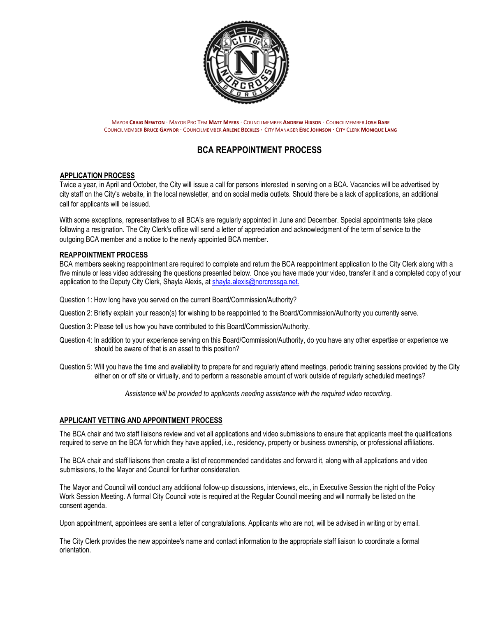

MAYOR **CRAIG NEWTON ·** MAYOR PRO TEM **MATT MYERS ·** COUNCILMEMBER **ANDREW HIXSON ·** COUNCILMEMBER **JOSH BARE** COUNCILMEMBER **BRUCE GAYNOR ·** COUNCILMEMBER **ARLENE BECKLES ·** CITY MANAGER **ERIC JOHNSON ·** CITY CLERK **MONIQUE LANG**

## **BCA REAPPOINTMENT PROCESS**

### **APPLICATION PROCESS**

Twice a year, in April and October, the City will issue a call for persons interested in serving on a BCA. Vacancies will be advertised by city staff on the City's website, in the local newsletter, and on social media outlets. Should there be a lack of applications, an additional call for applicants will be issued.

With some exceptions, representatives to all BCA's are regularly appointed in June and December. Special appointments take place following a resignation. The City Clerk's office will send a letter of appreciation and acknowledgment of the term of service to the outgoing BCA member and a notice to the newly appointed BCA member.

#### **REAPPOINTMENT PROCESS**

BCA members seeking reappointment are required to complete and return the BCA reappointment application to the City Clerk along with a five minute or less video addressing the questions presented below. Once you have made your video, transfer it and a completed copy of your application to the Deputy City Clerk, Shayla Alexis, at shayla.alexis@norcrossga.net.

Question 1: How long have you served on the current Board/Commission/Authority?

- Question 2: Briefly explain your reason(s) for wishing to be reappointed to the Board/Commission/Authority you currently serve.
- Question 3: Please tell us how you have contributed to this Board/Commission/Authority.
- Question 4: In addition to your experience serving on this Board/Commission/Authority, do you have any other expertise or experience we should be aware of that is an asset to this position?
- Question 5: Will you have the time and availability to prepare for and regularly attend meetings, periodic training sessions provided by the City either on or off site or virtually, and to perform a reasonable amount of work outside of regularly scheduled meetings?

*Assistance will be provided to applicants needing assistance with the required video recording.*

### **APPLICANT VETTING AND APPOINTMENT PROCESS**

The BCA chair and two staff liaisons review and vet all applications and video submissions to ensure that applicants meet the qualifications required to serve on the BCA for which they have applied, i.e., residency, property or business ownership, or professional affiliations.

The BCA chair and staff liaisons then create a list of recommended candidates and forward it, along with all applications and video submissions, to the Mayor and Council for further consideration.

The Mayor and Council will conduct any additional follow-up discussions, interviews, etc., in Executive Session the night of the Policy Work Session Meeting. A formal City Council vote is required at the Regular Council meeting and will normally be listed on the consent agenda.

Upon appointment, appointees are sent a letter of congratulations. Applicants who are not, will be advised in writing or by email.

The City Clerk provides the new appointee's name and contact information to the appropriate staff liaison to coordinate a formal orientation.